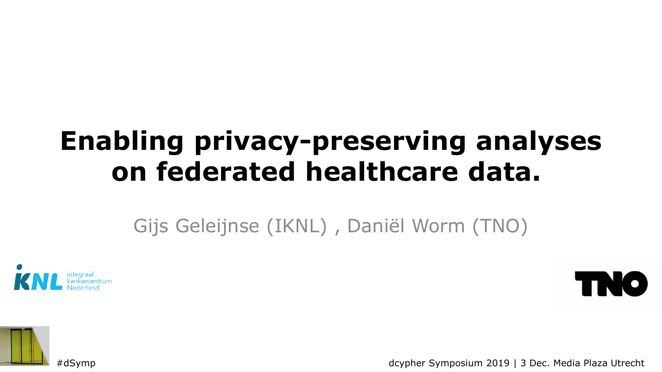### **Enabling privacy-preserving analyses on federated healthcare data.**

Gijs Geleijnse (IKNL) , Daniël Worm (TNO)





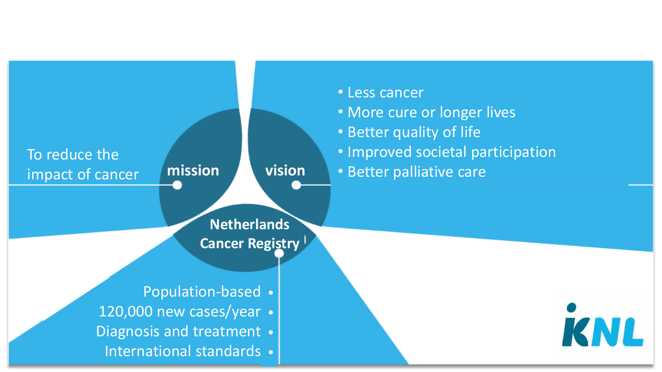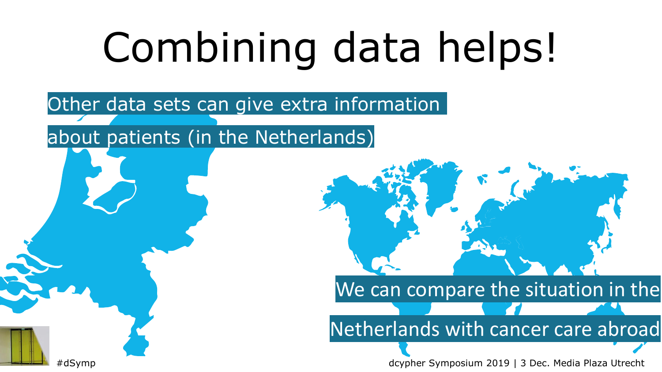# Combining data helps!

Other data sets can give extra information

about patients (in the Netherlands)



### We can compare the situation in the

Netherlands with cancer care abroad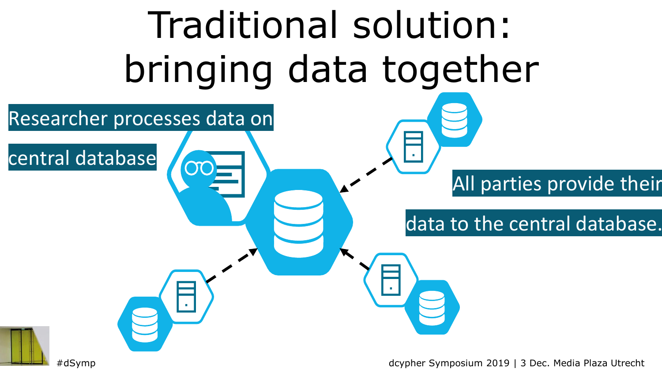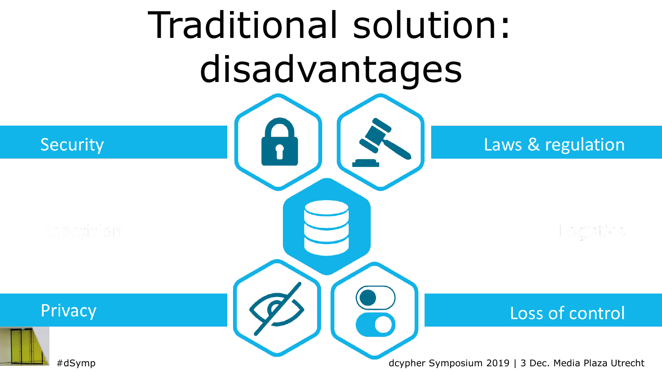# Traditional solution: disadvantages

#### **Security**

### Privacy

Laws & regulation

#### Loss of control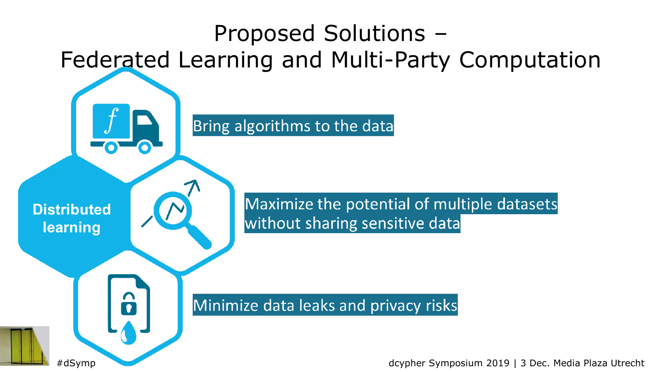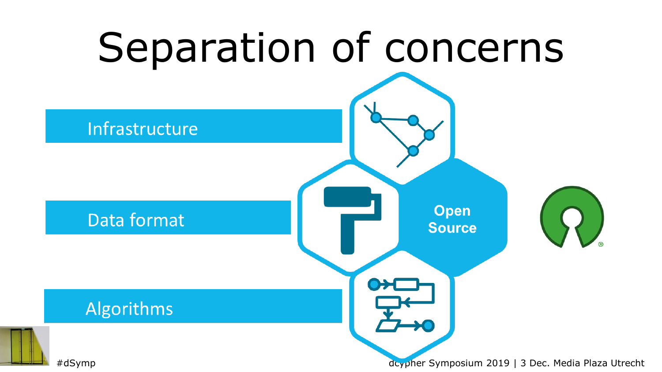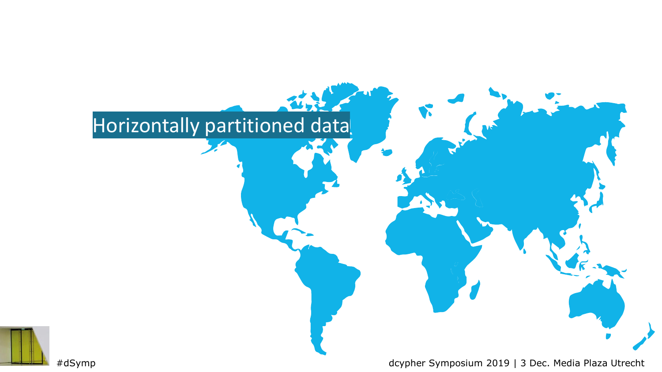### Horizontally partitioned data



#dSymp dcypher Symposium 2019 | 3 Dec. Media Plaza Utrecht

**TE**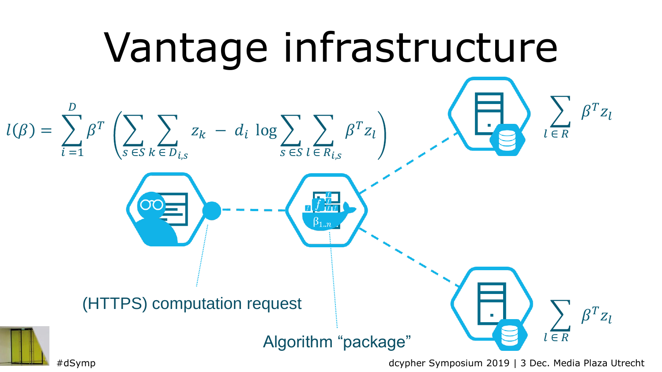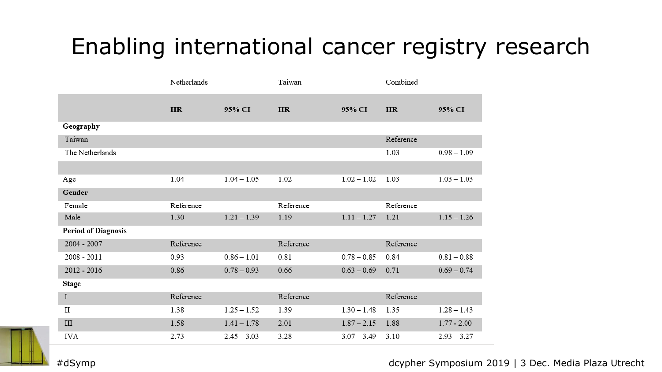### Enabling international cancer registry research

|                            | Netherlands |               | Taiwan    |               | Combined  |               |
|----------------------------|-------------|---------------|-----------|---------------|-----------|---------------|
|                            | <b>HR</b>   | 95% CI        | <b>HR</b> | 95% CI        | <b>HR</b> | 95% CI        |
| Geography                  |             |               |           |               |           |               |
| Taiwan                     |             |               |           |               | Reference |               |
| The Netherlands            |             |               |           |               | 1.03      | $0.98 - 1.09$ |
|                            |             |               |           |               |           |               |
| Age                        | 1.04        | $1.04 - 1.05$ | 1.02      | $1.02 - 1.02$ | 1.03      | $1.03 - 1.03$ |
| Gender                     |             |               |           |               |           |               |
| Female                     | Reference   |               | Reference |               | Reference |               |
| Male                       | 1.30        | $1.21 - 1.39$ | 1.19      | $1.11 - 1.27$ | 1.21      | $1.15 - 1.26$ |
| <b>Period of Diagnosis</b> |             |               |           |               |           |               |
| $2004 - 2007$              | Reference   |               | Reference |               | Reference |               |
| 2008 - 2011                | 0.93        | $0.86 - 1.01$ | 0.81      | $0.78 - 0.85$ | 0.84      | $0.81 - 0.88$ |
| $2012 - 2016$              | 0.86        | $0.78 - 0.93$ | 0.66      | $0.63 - 0.69$ | 0.71      | $0.69 - 0.74$ |
| <b>Stage</b>               |             |               |           |               |           |               |
| Ι                          | Reference   |               | Reference |               | Reference |               |
| $_{\rm II}$                | 1.38        | $1.25 - 1.52$ | 1.39      | $1.30 - 1.48$ | 1.35      | $1.28 - 1.43$ |
| III                        | 1.58        | $1.41 - 1.78$ | 2.01      | $1.87 - 2.15$ | 1.88      | $1.77 - 2.00$ |
| <b>IVA</b>                 | 2.73        | $2.45 - 3.03$ | 3.28      | $3.07 - 3.49$ | 3.10      | $2.93 - 3.27$ |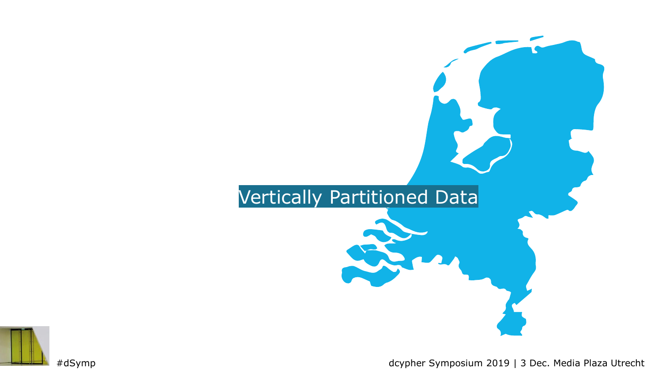



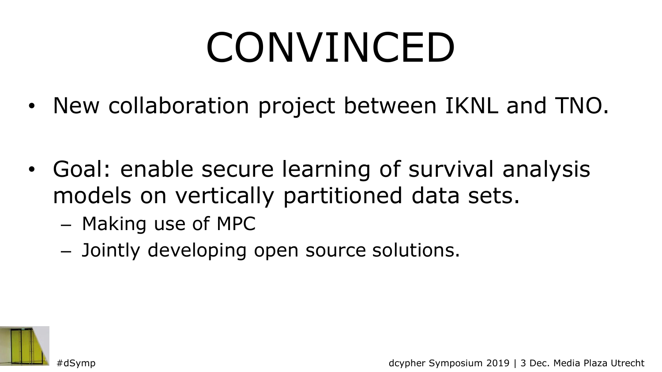# CONVINCED

- New collaboration project between IKNL and TNO.
- Goal: enable secure learning of survival analysis models on vertically partitioned data sets.
	- Making use of MPC
	- Jointly developing open source solutions.

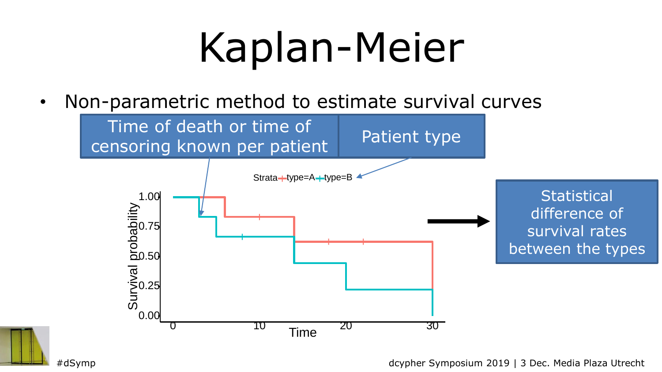# Kaplan-Meier

• Non-parametric method to estimate survival curves

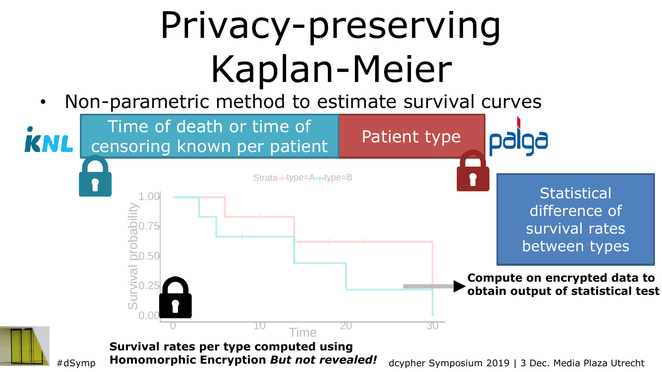### Privacy-preserving Kaplan-Meier

### • Non-parametric method to estimate survival curves

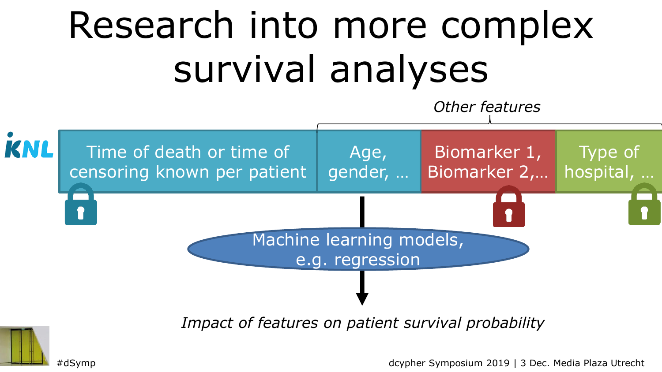### Research into more complex survival analyses

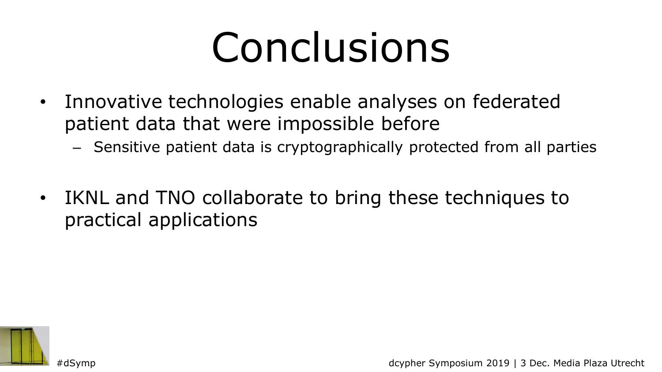# Conclusions

- Innovative technologies enable analyses on federated patient data that were impossible before
	- Sensitive patient data is cryptographically protected from all parties
- IKNL and TNO collaborate to bring these techniques to practical applications